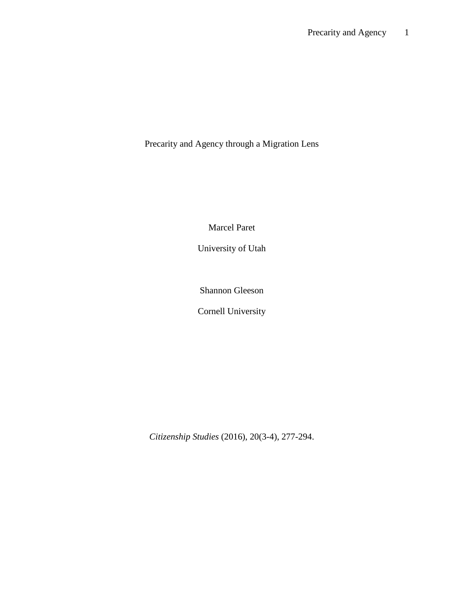Precarity and Agency through a Migration Lens

Marcel Paret

University of Utah

Shannon Gleeson

Cornell University

*Citizenship Studies* (2016), 20(3-4), 277-294.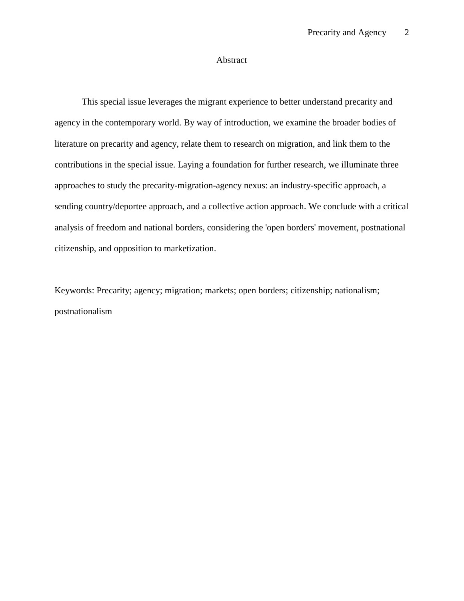# Abstract

This special issue leverages the migrant experience to better understand precarity and agency in the contemporary world. By way of introduction, we examine the broader bodies of literature on precarity and agency, relate them to research on migration, and link them to the contributions in the special issue. Laying a foundation for further research, we illuminate three approaches to study the precarity-migration-agency nexus: an industry-specific approach, a sending country/deportee approach, and a collective action approach. We conclude with a critical analysis of freedom and national borders, considering the 'open borders' movement, postnational citizenship, and opposition to marketization.

Keywords: Precarity; agency; migration; markets; open borders; citizenship; nationalism; postnationalism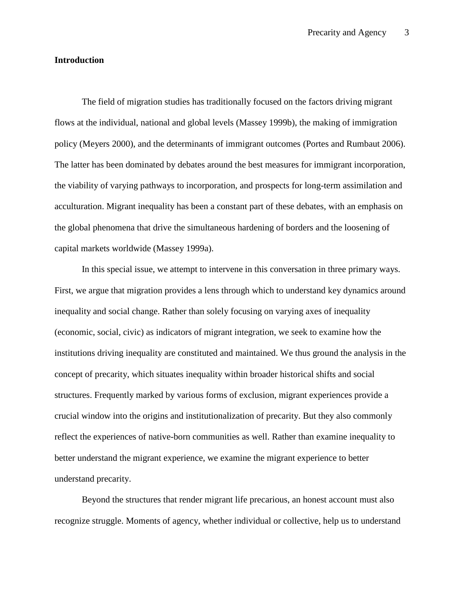# **Introduction**

The field of migration studies has traditionally focused on the factors driving migrant flows at the individual, national and global levels (Massey 1999b), the making of immigration policy (Meyers 2000), and the determinants of immigrant outcomes (Portes and Rumbaut 2006). The latter has been dominated by debates around the best measures for immigrant incorporation, the viability of varying pathways to incorporation, and prospects for long-term assimilation and acculturation. Migrant inequality has been a constant part of these debates, with an emphasis on the global phenomena that drive the simultaneous hardening of borders and the loosening of capital markets worldwide (Massey 1999a).

In this special issue, we attempt to intervene in this conversation in three primary ways. First, we argue that migration provides a lens through which to understand key dynamics around inequality and social change. Rather than solely focusing on varying axes of inequality (economic, social, civic) as indicators of migrant integration, we seek to examine how the institutions driving inequality are constituted and maintained. We thus ground the analysis in the concept of precarity, which situates inequality within broader historical shifts and social structures. Frequently marked by various forms of exclusion, migrant experiences provide a crucial window into the origins and institutionalization of precarity. But they also commonly reflect the experiences of native-born communities as well. Rather than examine inequality to better understand the migrant experience, we examine the migrant experience to better understand precarity.

Beyond the structures that render migrant life precarious, an honest account must also recognize struggle. Moments of agency, whether individual or collective, help us to understand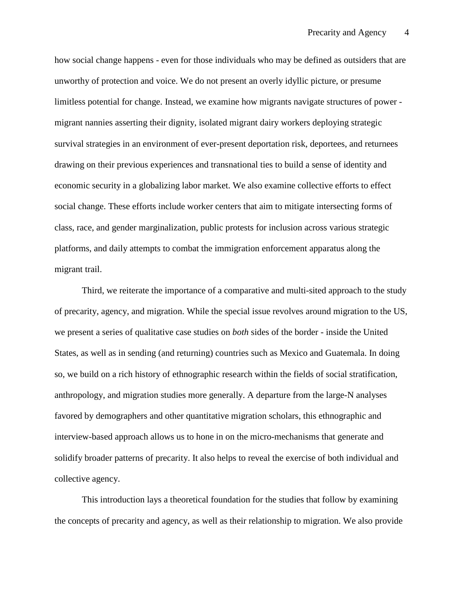how social change happens - even for those individuals who may be defined as outsiders that are unworthy of protection and voice. We do not present an overly idyllic picture, or presume limitless potential for change. Instead, we examine how migrants navigate structures of power migrant nannies asserting their dignity, isolated migrant dairy workers deploying strategic survival strategies in an environment of ever-present deportation risk, deportees, and returnees drawing on their previous experiences and transnational ties to build a sense of identity and economic security in a globalizing labor market. We also examine collective efforts to effect social change. These efforts include worker centers that aim to mitigate intersecting forms of class, race, and gender marginalization, public protests for inclusion across various strategic platforms, and daily attempts to combat the immigration enforcement apparatus along the migrant trail.

Third, we reiterate the importance of a comparative and multi-sited approach to the study of precarity, agency, and migration. While the special issue revolves around migration to the US, we present a series of qualitative case studies on *both* sides of the border - inside the United States, as well as in sending (and returning) countries such as Mexico and Guatemala. In doing so, we build on a rich history of ethnographic research within the fields of social stratification, anthropology, and migration studies more generally. A departure from the large-N analyses favored by demographers and other quantitative migration scholars, this ethnographic and interview-based approach allows us to hone in on the micro-mechanisms that generate and solidify broader patterns of precarity. It also helps to reveal the exercise of both individual and collective agency.

This introduction lays a theoretical foundation for the studies that follow by examining the concepts of precarity and agency, as well as their relationship to migration. We also provide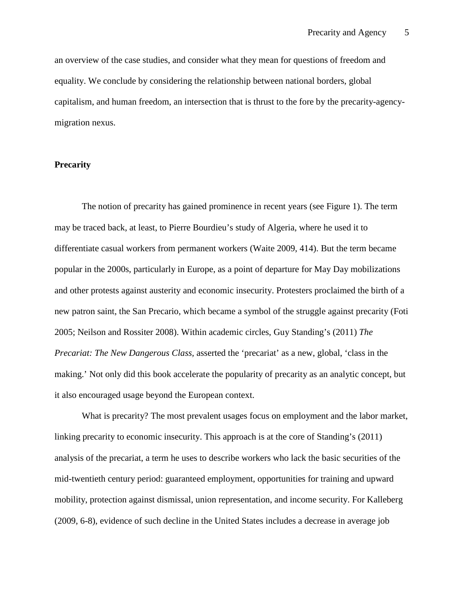an overview of the case studies, and consider what they mean for questions of freedom and equality. We conclude by considering the relationship between national borders, global capitalism, and human freedom, an intersection that is thrust to the fore by the precarity-agencymigration nexus.

# **Precarity**

The notion of precarity has gained prominence in recent years (see Figure 1). The term may be traced back, at least, to Pierre Bourdieu's study of Algeria, where he used it to differentiate casual workers from permanent workers (Waite 2009, 414). But the term became popular in the 2000s, particularly in Europe, as a point of departure for May Day mobilizations and other protests against austerity and economic insecurity. Protesters proclaimed the birth of a new patron saint, the San Precario, which became a symbol of the struggle against precarity (Foti 2005; Neilson and Rossiter 2008). Within academic circles, Guy Standing's (2011) *The Precariat: The New Dangerous Class,* asserted the 'precariat' as a new, global, 'class in the making.' Not only did this book accelerate the popularity of precarity as an analytic concept, but it also encouraged usage beyond the European context.

What is precarity? The most prevalent usages focus on employment and the labor market, linking precarity to economic insecurity. This approach is at the core of Standing's (2011) analysis of the precariat, a term he uses to describe workers who lack the basic securities of the mid-twentieth century period: guaranteed employment, opportunities for training and upward mobility, protection against dismissal, union representation, and income security. For Kalleberg (2009, 6-8), evidence of such decline in the United States includes a decrease in average job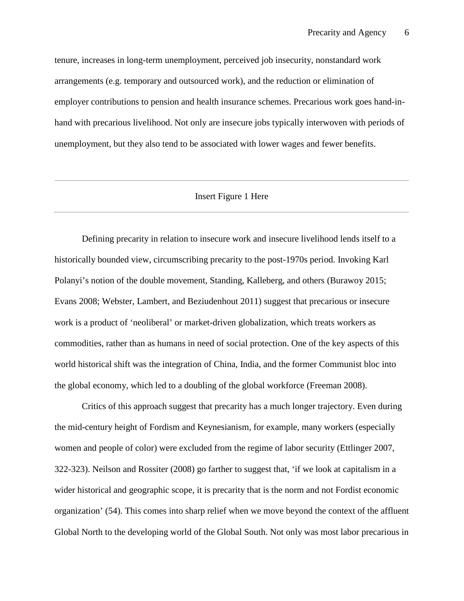tenure, increases in long-term unemployment, perceived job insecurity, nonstandard work arrangements (e.g. temporary and outsourced work), and the reduction or elimination of employer contributions to pension and health insurance schemes. Precarious work goes hand-inhand with precarious livelihood. Not only are insecure jobs typically interwoven with periods of unemployment, but they also tend to be associated with lower wages and fewer benefits.

# Insert Figure 1 Here

Defining precarity in relation to insecure work and insecure livelihood lends itself to a historically bounded view, circumscribing precarity to the post-1970s period. Invoking Karl Polanyi's notion of the double movement, Standing, Kalleberg, and others (Burawoy 2015; Evans 2008; Webster, Lambert, and Beziudenhout 2011) suggest that precarious or insecure work is a product of 'neoliberal' or market-driven globalization, which treats workers as commodities, rather than as humans in need of social protection. One of the key aspects of this world historical shift was the integration of China, India, and the former Communist bloc into the global economy, which led to a doubling of the global workforce (Freeman 2008).

Critics of this approach suggest that precarity has a much longer trajectory. Even during the mid-century height of Fordism and Keynesianism, for example, many workers (especially women and people of color) were excluded from the regime of labor security (Ettlinger 2007, 322-323). Neilson and Rossiter (2008) go farther to suggest that, 'if we look at capitalism in a wider historical and geographic scope, it is precarity that is the norm and not Fordist economic organization' (54). This comes into sharp relief when we move beyond the context of the affluent Global North to the developing world of the Global South. Not only was most labor precarious in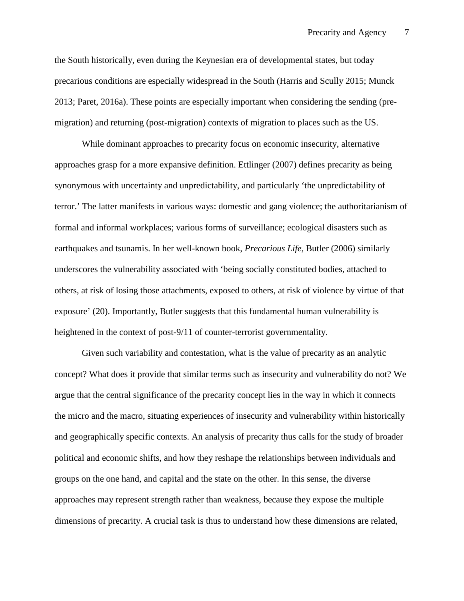the South historically, even during the Keynesian era of developmental states, but today precarious conditions are especially widespread in the South (Harris and Scully 2015; Munck 2013; Paret, 2016a). These points are especially important when considering the sending (premigration) and returning (post-migration) contexts of migration to places such as the US.

While dominant approaches to precarity focus on economic insecurity, alternative approaches grasp for a more expansive definition. Ettlinger (2007) defines precarity as being synonymous with uncertainty and unpredictability, and particularly 'the unpredictability of terror.' The latter manifests in various ways: domestic and gang violence; the authoritarianism of formal and informal workplaces; various forms of surveillance; ecological disasters such as earthquakes and tsunamis. In her well-known book, *Precarious Life,* Butler (2006) similarly underscores the vulnerability associated with 'being socially constituted bodies, attached to others, at risk of losing those attachments, exposed to others, at risk of violence by virtue of that exposure' (20). Importantly, Butler suggests that this fundamental human vulnerability is heightened in the context of post-9/11 of counter-terrorist governmentality.

Given such variability and contestation, what is the value of precarity as an analytic concept? What does it provide that similar terms such as insecurity and vulnerability do not? We argue that the central significance of the precarity concept lies in the way in which it connects the micro and the macro, situating experiences of insecurity and vulnerability within historically and geographically specific contexts. An analysis of precarity thus calls for the study of broader political and economic shifts, and how they reshape the relationships between individuals and groups on the one hand, and capital and the state on the other. In this sense, the diverse approaches may represent strength rather than weakness, because they expose the multiple dimensions of precarity. A crucial task is thus to understand how these dimensions are related,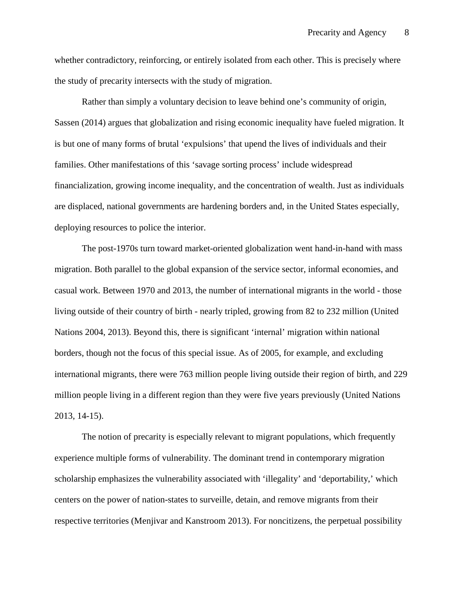whether contradictory, reinforcing, or entirely isolated from each other. This is precisely where the study of precarity intersects with the study of migration.

Rather than simply a voluntary decision to leave behind one's community of origin, Sassen (2014) argues that globalization and rising economic inequality have fueled migration. It is but one of many forms of brutal 'expulsions' that upend the lives of individuals and their families. Other manifestations of this 'savage sorting process' include widespread financialization, growing income inequality, and the concentration of wealth. Just as individuals are displaced, national governments are hardening borders and, in the United States especially, deploying resources to police the interior.

The post-1970s turn toward market-oriented globalization went hand-in-hand with mass migration. Both parallel to the global expansion of the service sector, informal economies, and casual work. Between 1970 and 2013, the number of international migrants in the world - those living outside of their country of birth - nearly tripled, growing from 82 to 232 million (United Nations 2004, 2013). Beyond this, there is significant 'internal' migration within national borders, though not the focus of this special issue. As of 2005, for example, and excluding international migrants, there were 763 million people living outside their region of birth, and 229 million people living in a different region than they were five years previously (United Nations 2013, 14-15).

The notion of precarity is especially relevant to migrant populations, which frequently experience multiple forms of vulnerability. The dominant trend in contemporary migration scholarship emphasizes the vulnerability associated with 'illegality' and 'deportability,' which centers on the power of nation-states to surveille, detain, and remove migrants from their respective territories (Menjivar and Kanstroom 2013). For noncitizens, the perpetual possibility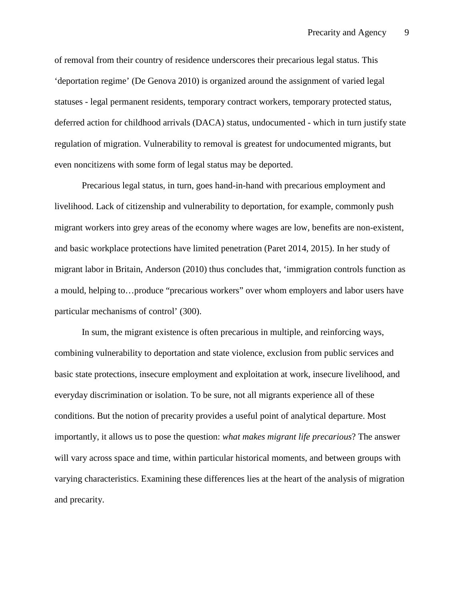of removal from their country of residence underscores their precarious legal status. This 'deportation regime' (De Genova 2010) is organized around the assignment of varied legal statuses - legal permanent residents, temporary contract workers, temporary protected status, deferred action for childhood arrivals (DACA) status, undocumented - which in turn justify state regulation of migration. Vulnerability to removal is greatest for undocumented migrants, but even noncitizens with some form of legal status may be deported.

Precarious legal status, in turn, goes hand-in-hand with precarious employment and livelihood. Lack of citizenship and vulnerability to deportation, for example, commonly push migrant workers into grey areas of the economy where wages are low, benefits are non-existent, and basic workplace protections have limited penetration (Paret 2014, 2015). In her study of migrant labor in Britain, Anderson (2010) thus concludes that, 'immigration controls function as a mould, helping to…produce "precarious workers" over whom employers and labor users have particular mechanisms of control' (300).

In sum, the migrant existence is often precarious in multiple, and reinforcing ways, combining vulnerability to deportation and state violence, exclusion from public services and basic state protections, insecure employment and exploitation at work, insecure livelihood, and everyday discrimination or isolation. To be sure, not all migrants experience all of these conditions. But the notion of precarity provides a useful point of analytical departure. Most importantly, it allows us to pose the question: *what makes migrant life precarious*? The answer will vary across space and time, within particular historical moments, and between groups with varying characteristics. Examining these differences lies at the heart of the analysis of migration and precarity.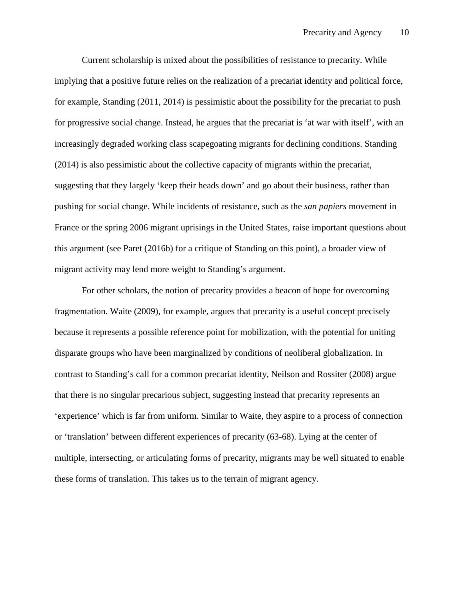Current scholarship is mixed about the possibilities of resistance to precarity. While implying that a positive future relies on the realization of a precariat identity and political force, for example, Standing (2011, 2014) is pessimistic about the possibility for the precariat to push for progressive social change. Instead, he argues that the precariat is 'at war with itself', with an increasingly degraded working class scapegoating migrants for declining conditions. Standing (2014) is also pessimistic about the collective capacity of migrants within the precariat, suggesting that they largely 'keep their heads down' and go about their business, rather than pushing for social change. While incidents of resistance, such as the *san papiers* movement in France or the spring 2006 migrant uprisings in the United States, raise important questions about this argument (see Paret (2016b) for a critique of Standing on this point), a broader view of migrant activity may lend more weight to Standing's argument.

For other scholars, the notion of precarity provides a beacon of hope for overcoming fragmentation. Waite (2009), for example, argues that precarity is a useful concept precisely because it represents a possible reference point for mobilization, with the potential for uniting disparate groups who have been marginalized by conditions of neoliberal globalization. In contrast to Standing's call for a common precariat identity, Neilson and Rossiter (2008) argue that there is no singular precarious subject, suggesting instead that precarity represents an 'experience' which is far from uniform. Similar to Waite, they aspire to a process of connection or 'translation' between different experiences of precarity (63-68). Lying at the center of multiple, intersecting, or articulating forms of precarity, migrants may be well situated to enable these forms of translation. This takes us to the terrain of migrant agency.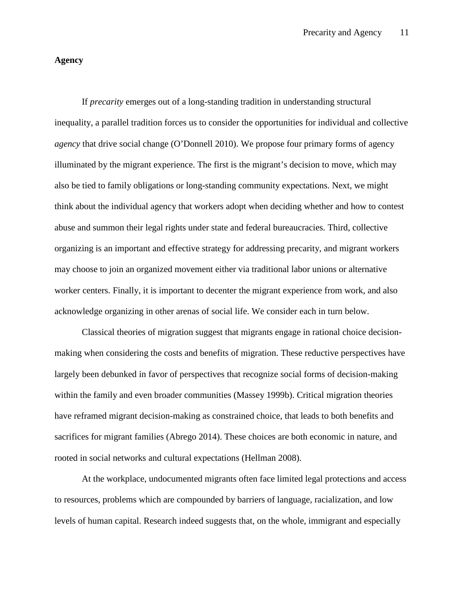# **Agency**

If *precarity* emerges out of a long-standing tradition in understanding structural inequality, a parallel tradition forces us to consider the opportunities for individual and collective *agency* that drive social change (O'Donnell 2010). We propose four primary forms of agency illuminated by the migrant experience. The first is the migrant's decision to move, which may also be tied to family obligations or long-standing community expectations. Next, we might think about the individual agency that workers adopt when deciding whether and how to contest abuse and summon their legal rights under state and federal bureaucracies. Third, collective organizing is an important and effective strategy for addressing precarity, and migrant workers may choose to join an organized movement either via traditional labor unions or alternative worker centers. Finally, it is important to decenter the migrant experience from work, and also acknowledge organizing in other arenas of social life. We consider each in turn below.

Classical theories of migration suggest that migrants engage in rational choice decisionmaking when considering the costs and benefits of migration. These reductive perspectives have largely been debunked in favor of perspectives that recognize social forms of decision-making within the family and even broader communities (Massey 1999b). Critical migration theories have reframed migrant decision-making as constrained choice, that leads to both benefits and sacrifices for migrant families (Abrego 2014). These choices are both economic in nature, and rooted in social networks and cultural expectations (Hellman 2008).

At the workplace, undocumented migrants often face limited legal protections and access to resources, problems which are compounded by barriers of language, racialization, and low levels of human capital. Research indeed suggests that, on the whole, immigrant and especially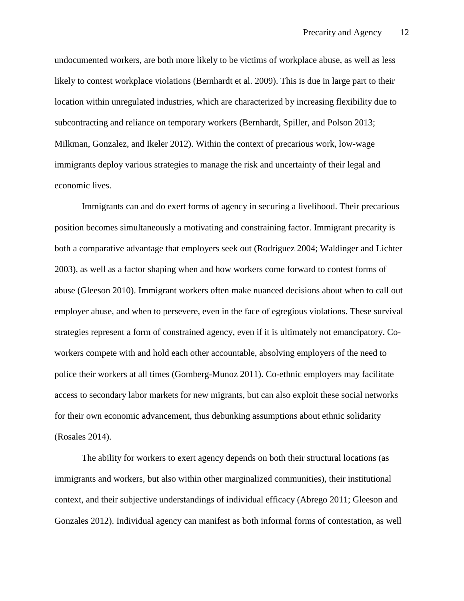undocumented workers, are both more likely to be victims of workplace abuse, as well as less likely to contest workplace violations (Bernhardt et al. 2009). This is due in large part to their location within unregulated industries, which are characterized by increasing flexibility due to subcontracting and reliance on temporary workers (Bernhardt, Spiller, and Polson 2013; Milkman, Gonzalez, and Ikeler 2012). Within the context of precarious work, low-wage immigrants deploy various strategies to manage the risk and uncertainty of their legal and economic lives.

Immigrants can and do exert forms of agency in securing a livelihood. Their precarious position becomes simultaneously a motivating and constraining factor. Immigrant precarity is both a comparative advantage that employers seek out (Rodriguez 2004; Waldinger and Lichter 2003), as well as a factor shaping when and how workers come forward to contest forms of abuse (Gleeson 2010). Immigrant workers often make nuanced decisions about when to call out employer abuse, and when to persevere, even in the face of egregious violations. These survival strategies represent a form of constrained agency, even if it is ultimately not emancipatory. Coworkers compete with and hold each other accountable, absolving employers of the need to police their workers at all times (Gomberg-Munoz 2011). Co-ethnic employers may facilitate access to secondary labor markets for new migrants, but can also exploit these social networks for their own economic advancement, thus debunking assumptions about ethnic solidarity (Rosales 2014).

The ability for workers to exert agency depends on both their structural locations (as immigrants and workers, but also within other marginalized communities), their institutional context, and their subjective understandings of individual efficacy (Abrego 2011; Gleeson and Gonzales 2012). Individual agency can manifest as both informal forms of contestation, as well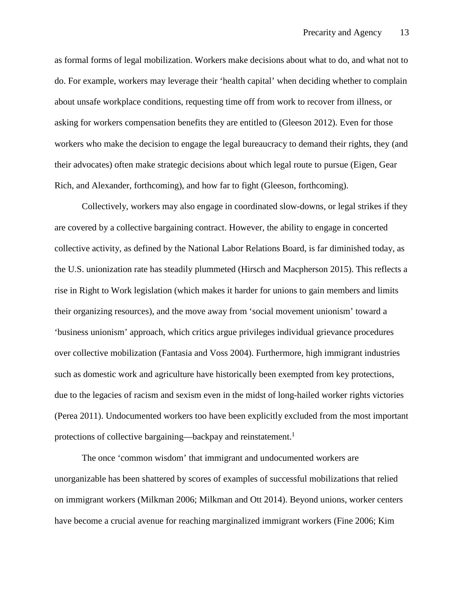as formal forms of legal mobilization. Workers make decisions about what to do, and what not to do. For example, workers may leverage their 'health capital' when deciding whether to complain about unsafe workplace conditions, requesting time off from work to recover from illness, or asking for workers compensation benefits they are entitled to (Gleeson 2012). Even for those workers who make the decision to engage the legal bureaucracy to demand their rights, they (and their advocates) often make strategic decisions about which legal route to pursue (Eigen, Gear Rich, and Alexander, forthcoming), and how far to fight (Gleeson, forthcoming).

Collectively, workers may also engage in coordinated slow-downs, or legal strikes if they are covered by a collective bargaining contract. However, the ability to engage in concerted collective activity, as defined by the National Labor Relations Board, is far diminished today, as the U.S. unionization rate has steadily plummeted (Hirsch and Macpherson 2015). This reflects a rise in Right to Work legislation (which makes it harder for unions to gain members and limits their organizing resources), and the move away from 'social movement unionism' toward a 'business unionism' approach, which critics argue privileges individual grievance procedures over collective mobilization (Fantasia and Voss 2004). Furthermore, high immigrant industries such as domestic work and agriculture have historically been exempted from key protections, due to the legacies of racism and sexism even in the midst of long-hailed worker rights victories (Perea 2011). Undocumented workers too have been explicitly excluded from the most important protections of collective bargaining—backpay and reinstatement.<sup>1</sup>

The once 'common wisdom' that immigrant and undocumented workers are unorganizable has been shattered by scores of examples of successful mobilizations that relied on immigrant workers (Milkman 2006; Milkman and Ott 2014). Beyond unions, worker centers have become a crucial avenue for reaching marginalized immigrant workers (Fine 2006; Kim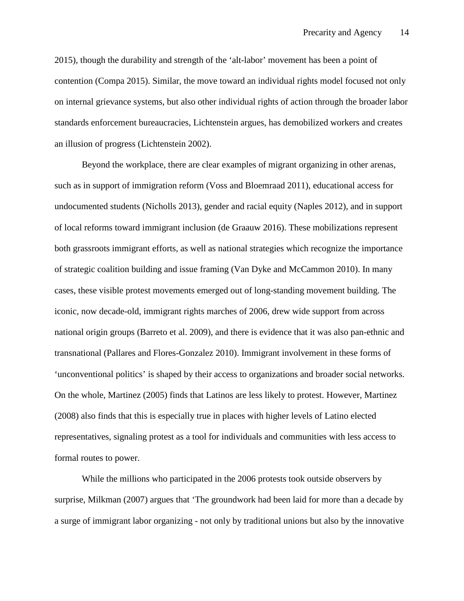2015), though the durability and strength of the 'alt-labor' movement has been a point of contention (Compa 2015). Similar, the move toward an individual rights model focused not only on internal grievance systems, but also other individual rights of action through the broader labor standards enforcement bureaucracies, Lichtenstein argues, has demobilized workers and creates an illusion of progress (Lichtenstein 2002).

Beyond the workplace, there are clear examples of migrant organizing in other arenas, such as in support of immigration reform (Voss and Bloemraad 2011), educational access for undocumented students (Nicholls 2013), gender and racial equity (Naples 2012), and in support of local reforms toward immigrant inclusion (de Graauw 2016). These mobilizations represent both grassroots immigrant efforts, as well as national strategies which recognize the importance of strategic coalition building and issue framing (Van Dyke and McCammon 2010). In many cases, these visible protest movements emerged out of long-standing movement building. The iconic, now decade-old, immigrant rights marches of 2006, drew wide support from across national origin groups (Barreto et al. 2009), and there is evidence that it was also pan-ethnic and transnational (Pallares and Flores-Gonzalez 2010). Immigrant involvement in these forms of 'unconventional politics' is shaped by their access to organizations and broader social networks. On the whole, Martinez (2005) finds that Latinos are less likely to protest. However, Martinez (2008) also finds that this is especially true in places with higher levels of Latino elected representatives, signaling protest as a tool for individuals and communities with less access to formal routes to power.

While the millions who participated in the 2006 protests took outside observers by surprise, Milkman (2007) argues that 'The groundwork had been laid for more than a decade by a surge of immigrant labor organizing - not only by traditional unions but also by the innovative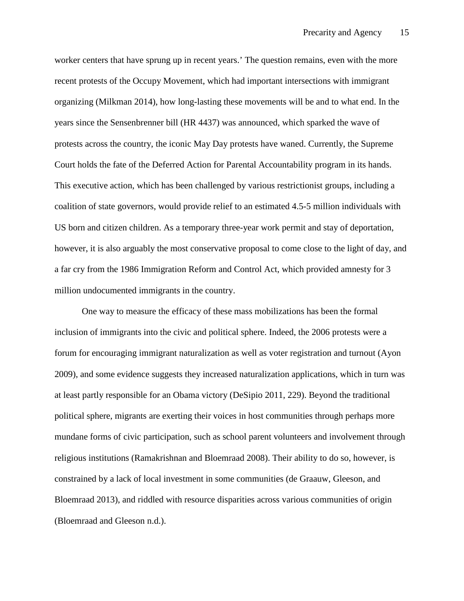worker centers that have sprung up in recent years.' The question remains, even with the more recent protests of the Occupy Movement, which had important intersections with immigrant organizing (Milkman 2014), how long-lasting these movements will be and to what end. In the years since the Sensenbrenner bill (HR 4437) was announced, which sparked the wave of protests across the country, the iconic May Day protests have waned. Currently, the Supreme Court holds the fate of the Deferred Action for Parental Accountability program in its hands. This executive action, which has been challenged by various restrictionist groups, including a coalition of state governors, would provide relief to an estimated 4.5-5 million individuals with US born and citizen children. As a temporary three-year work permit and stay of deportation, however, it is also arguably the most conservative proposal to come close to the light of day, and a far cry from the 1986 Immigration Reform and Control Act, which provided amnesty for 3 million undocumented immigrants in the country.

One way to measure the efficacy of these mass mobilizations has been the formal inclusion of immigrants into the civic and political sphere. Indeed, the 2006 protests were a forum for encouraging immigrant naturalization as well as voter registration and turnout (Ayon 2009), and some evidence suggests they increased naturalization applications, which in turn was at least partly responsible for an Obama victory (DeSipio 2011, 229). Beyond the traditional political sphere, migrants are exerting their voices in host communities through perhaps more mundane forms of civic participation, such as school parent volunteers and involvement through religious institutions (Ramakrishnan and Bloemraad 2008). Their ability to do so, however, is constrained by a lack of local investment in some communities (de Graauw, Gleeson, and Bloemraad 2013), and riddled with resource disparities across various communities of origin (Bloemraad and Gleeson n.d.).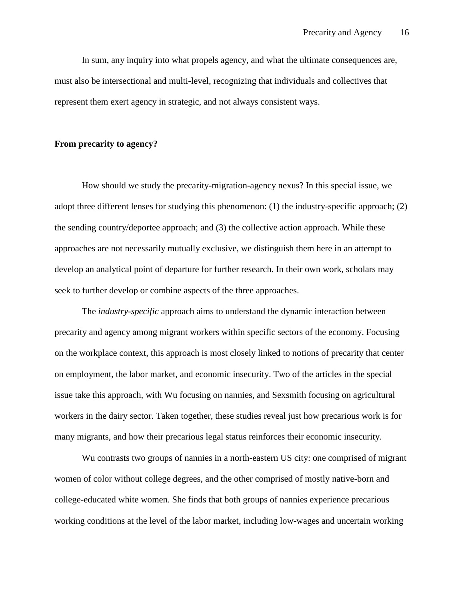In sum, any inquiry into what propels agency, and what the ultimate consequences are, must also be intersectional and multi-level, recognizing that individuals and collectives that represent them exert agency in strategic, and not always consistent ways.

#### **From precarity to agency?**

How should we study the precarity-migration-agency nexus? In this special issue, we adopt three different lenses for studying this phenomenon: (1) the industry-specific approach; (2) the sending country/deportee approach; and (3) the collective action approach. While these approaches are not necessarily mutually exclusive, we distinguish them here in an attempt to develop an analytical point of departure for further research. In their own work, scholars may seek to further develop or combine aspects of the three approaches.

The *industry-specific* approach aims to understand the dynamic interaction between precarity and agency among migrant workers within specific sectors of the economy. Focusing on the workplace context, this approach is most closely linked to notions of precarity that center on employment, the labor market, and economic insecurity. Two of the articles in the special issue take this approach, with Wu focusing on nannies, and Sexsmith focusing on agricultural workers in the dairy sector. Taken together, these studies reveal just how precarious work is for many migrants, and how their precarious legal status reinforces their economic insecurity.

Wu contrasts two groups of nannies in a north-eastern US city: one comprised of migrant women of color without college degrees, and the other comprised of mostly native-born and college-educated white women. She finds that both groups of nannies experience precarious working conditions at the level of the labor market, including low-wages and uncertain working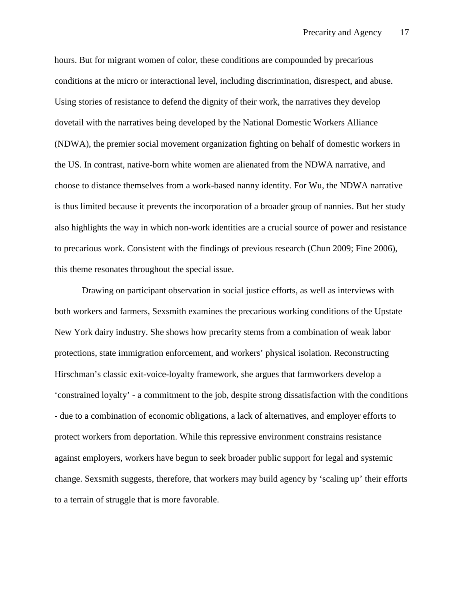hours. But for migrant women of color, these conditions are compounded by precarious conditions at the micro or interactional level, including discrimination, disrespect, and abuse. Using stories of resistance to defend the dignity of their work, the narratives they develop dovetail with the narratives being developed by the National Domestic Workers Alliance (NDWA), the premier social movement organization fighting on behalf of domestic workers in the US. In contrast, native-born white women are alienated from the NDWA narrative, and choose to distance themselves from a work-based nanny identity. For Wu, the NDWA narrative is thus limited because it prevents the incorporation of a broader group of nannies. But her study also highlights the way in which non-work identities are a crucial source of power and resistance to precarious work. Consistent with the findings of previous research (Chun 2009; Fine 2006), this theme resonates throughout the special issue.

Drawing on participant observation in social justice efforts, as well as interviews with both workers and farmers, Sexsmith examines the precarious working conditions of the Upstate New York dairy industry. She shows how precarity stems from a combination of weak labor protections, state immigration enforcement, and workers' physical isolation. Reconstructing Hirschman's classic exit-voice-loyalty framework, she argues that farmworkers develop a 'constrained loyalty' - a commitment to the job, despite strong dissatisfaction with the conditions - due to a combination of economic obligations, a lack of alternatives, and employer efforts to protect workers from deportation. While this repressive environment constrains resistance against employers, workers have begun to seek broader public support for legal and systemic change. Sexsmith suggests, therefore, that workers may build agency by 'scaling up' their efforts to a terrain of struggle that is more favorable.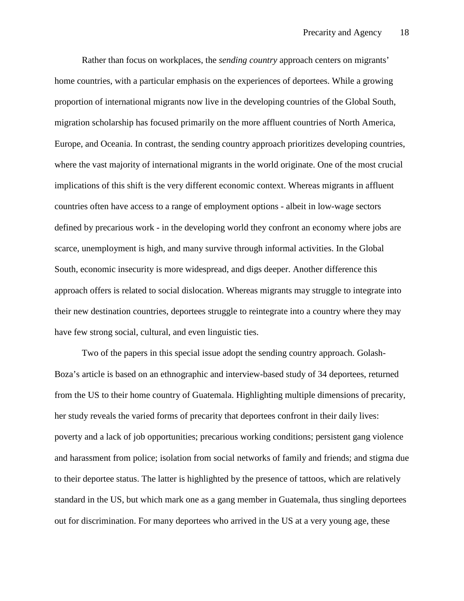Rather than focus on workplaces, the *sending country* approach centers on migrants' home countries, with a particular emphasis on the experiences of deportees. While a growing proportion of international migrants now live in the developing countries of the Global South, migration scholarship has focused primarily on the more affluent countries of North America, Europe, and Oceania. In contrast, the sending country approach prioritizes developing countries, where the vast majority of international migrants in the world originate. One of the most crucial implications of this shift is the very different economic context. Whereas migrants in affluent countries often have access to a range of employment options - albeit in low-wage sectors defined by precarious work - in the developing world they confront an economy where jobs are scarce, unemployment is high, and many survive through informal activities. In the Global South, economic insecurity is more widespread, and digs deeper. Another difference this approach offers is related to social dislocation. Whereas migrants may struggle to integrate into their new destination countries, deportees struggle to reintegrate into a country where they may have few strong social, cultural, and even linguistic ties.

Two of the papers in this special issue adopt the sending country approach. Golash-Boza's article is based on an ethnographic and interview-based study of 34 deportees, returned from the US to their home country of Guatemala. Highlighting multiple dimensions of precarity, her study reveals the varied forms of precarity that deportees confront in their daily lives: poverty and a lack of job opportunities; precarious working conditions; persistent gang violence and harassment from police; isolation from social networks of family and friends; and stigma due to their deportee status. The latter is highlighted by the presence of tattoos, which are relatively standard in the US, but which mark one as a gang member in Guatemala, thus singling deportees out for discrimination. For many deportees who arrived in the US at a very young age, these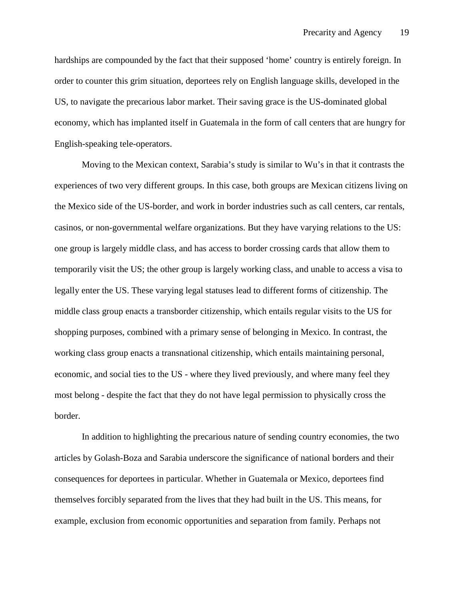hardships are compounded by the fact that their supposed 'home' country is entirely foreign. In order to counter this grim situation, deportees rely on English language skills, developed in the US, to navigate the precarious labor market. Their saving grace is the US-dominated global economy, which has implanted itself in Guatemala in the form of call centers that are hungry for English-speaking tele-operators.

Moving to the Mexican context, Sarabia's study is similar to Wu's in that it contrasts the experiences of two very different groups. In this case, both groups are Mexican citizens living on the Mexico side of the US-border, and work in border industries such as call centers, car rentals, casinos, or non-governmental welfare organizations. But they have varying relations to the US: one group is largely middle class, and has access to border crossing cards that allow them to temporarily visit the US; the other group is largely working class, and unable to access a visa to legally enter the US. These varying legal statuses lead to different forms of citizenship. The middle class group enacts a transborder citizenship, which entails regular visits to the US for shopping purposes, combined with a primary sense of belonging in Mexico. In contrast, the working class group enacts a transnational citizenship, which entails maintaining personal, economic, and social ties to the US - where they lived previously, and where many feel they most belong - despite the fact that they do not have legal permission to physically cross the border.

In addition to highlighting the precarious nature of sending country economies, the two articles by Golash-Boza and Sarabia underscore the significance of national borders and their consequences for deportees in particular. Whether in Guatemala or Mexico, deportees find themselves forcibly separated from the lives that they had built in the US. This means, for example, exclusion from economic opportunities and separation from family. Perhaps not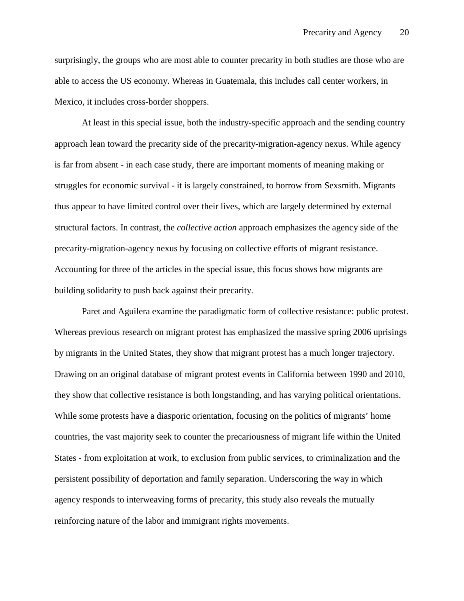surprisingly, the groups who are most able to counter precarity in both studies are those who are able to access the US economy. Whereas in Guatemala, this includes call center workers, in Mexico, it includes cross-border shoppers.

At least in this special issue, both the industry-specific approach and the sending country approach lean toward the precarity side of the precarity-migration-agency nexus. While agency is far from absent - in each case study, there are important moments of meaning making or struggles for economic survival - it is largely constrained, to borrow from Sexsmith. Migrants thus appear to have limited control over their lives, which are largely determined by external structural factors. In contrast, the *collective action* approach emphasizes the agency side of the precarity-migration-agency nexus by focusing on collective efforts of migrant resistance. Accounting for three of the articles in the special issue, this focus shows how migrants are building solidarity to push back against their precarity.

Paret and Aguilera examine the paradigmatic form of collective resistance: public protest. Whereas previous research on migrant protest has emphasized the massive spring 2006 uprisings by migrants in the United States, they show that migrant protest has a much longer trajectory. Drawing on an original database of migrant protest events in California between 1990 and 2010, they show that collective resistance is both longstanding, and has varying political orientations. While some protests have a diasporic orientation, focusing on the politics of migrants' home countries, the vast majority seek to counter the precariousness of migrant life within the United States - from exploitation at work, to exclusion from public services, to criminalization and the persistent possibility of deportation and family separation. Underscoring the way in which agency responds to interweaving forms of precarity, this study also reveals the mutually reinforcing nature of the labor and immigrant rights movements.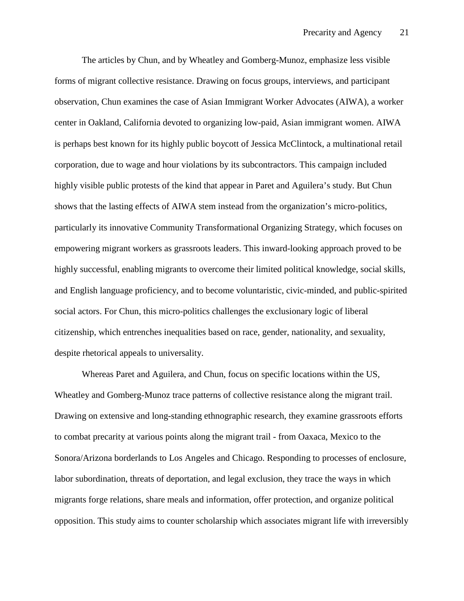The articles by Chun, and by Wheatley and Gomberg-Munoz, emphasize less visible forms of migrant collective resistance. Drawing on focus groups, interviews, and participant observation, Chun examines the case of Asian Immigrant Worker Advocates (AIWA), a worker center in Oakland, California devoted to organizing low-paid, Asian immigrant women. AIWA is perhaps best known for its highly public boycott of Jessica McClintock, a multinational retail corporation, due to wage and hour violations by its subcontractors. This campaign included highly visible public protests of the kind that appear in Paret and Aguilera's study. But Chun shows that the lasting effects of AIWA stem instead from the organization's micro-politics, particularly its innovative Community Transformational Organizing Strategy, which focuses on empowering migrant workers as grassroots leaders. This inward-looking approach proved to be highly successful, enabling migrants to overcome their limited political knowledge, social skills, and English language proficiency, and to become voluntaristic, civic-minded, and public-spirited social actors. For Chun, this micro-politics challenges the exclusionary logic of liberal citizenship, which entrenches inequalities based on race, gender, nationality, and sexuality, despite rhetorical appeals to universality.

Whereas Paret and Aguilera, and Chun, focus on specific locations within the US, Wheatley and Gomberg-Munoz trace patterns of collective resistance along the migrant trail. Drawing on extensive and long-standing ethnographic research, they examine grassroots efforts to combat precarity at various points along the migrant trail - from Oaxaca, Mexico to the Sonora/Arizona borderlands to Los Angeles and Chicago. Responding to processes of enclosure, labor subordination, threats of deportation, and legal exclusion, they trace the ways in which migrants forge relations, share meals and information, offer protection, and organize political opposition. This study aims to counter scholarship which associates migrant life with irreversibly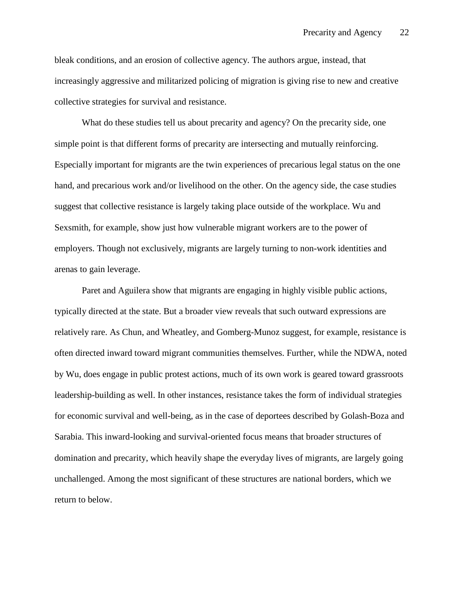bleak conditions, and an erosion of collective agency. The authors argue, instead, that increasingly aggressive and militarized policing of migration is giving rise to new and creative collective strategies for survival and resistance.

What do these studies tell us about precarity and agency? On the precarity side, one simple point is that different forms of precarity are intersecting and mutually reinforcing. Especially important for migrants are the twin experiences of precarious legal status on the one hand, and precarious work and/or livelihood on the other. On the agency side, the case studies suggest that collective resistance is largely taking place outside of the workplace. Wu and Sexsmith, for example, show just how vulnerable migrant workers are to the power of employers. Though not exclusively, migrants are largely turning to non-work identities and arenas to gain leverage.

Paret and Aguilera show that migrants are engaging in highly visible public actions, typically directed at the state. But a broader view reveals that such outward expressions are relatively rare. As Chun, and Wheatley, and Gomberg-Munoz suggest, for example, resistance is often directed inward toward migrant communities themselves. Further, while the NDWA, noted by Wu, does engage in public protest actions, much of its own work is geared toward grassroots leadership-building as well. In other instances, resistance takes the form of individual strategies for economic survival and well-being, as in the case of deportees described by Golash-Boza and Sarabia. This inward-looking and survival-oriented focus means that broader structures of domination and precarity, which heavily shape the everyday lives of migrants, are largely going unchallenged. Among the most significant of these structures are national borders, which we return to below.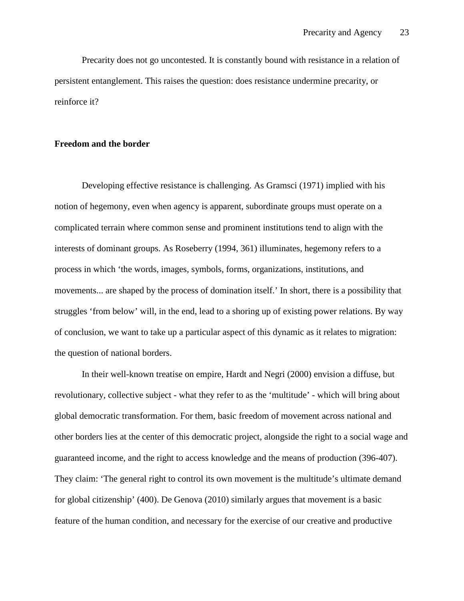Precarity does not go uncontested. It is constantly bound with resistance in a relation of persistent entanglement. This raises the question: does resistance undermine precarity, or reinforce it?

# **Freedom and the border**

Developing effective resistance is challenging. As Gramsci (1971) implied with his notion of hegemony, even when agency is apparent, subordinate groups must operate on a complicated terrain where common sense and prominent institutions tend to align with the interests of dominant groups. As Roseberry (1994, 361) illuminates, hegemony refers to a process in which 'the words, images, symbols, forms, organizations, institutions, and movements... are shaped by the process of domination itself.' In short, there is a possibility that struggles 'from below' will, in the end, lead to a shoring up of existing power relations. By way of conclusion, we want to take up a particular aspect of this dynamic as it relates to migration: the question of national borders.

In their well-known treatise on empire, Hardt and Negri (2000) envision a diffuse, but revolutionary, collective subject - what they refer to as the 'multitude' - which will bring about global democratic transformation. For them, basic freedom of movement across national and other borders lies at the center of this democratic project, alongside the right to a social wage and guaranteed income, and the right to access knowledge and the means of production (396-407). They claim: 'The general right to control its own movement is the multitude's ultimate demand for global citizenship' (400). De Genova (2010) similarly argues that movement is a basic feature of the human condition, and necessary for the exercise of our creative and productive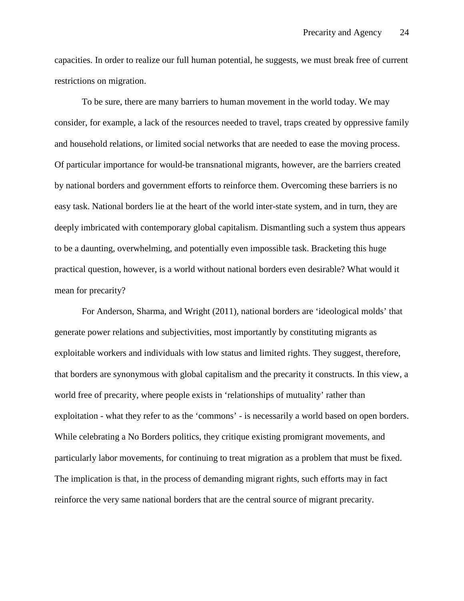capacities. In order to realize our full human potential, he suggests, we must break free of current restrictions on migration.

To be sure, there are many barriers to human movement in the world today. We may consider, for example, a lack of the resources needed to travel, traps created by oppressive family and household relations, or limited social networks that are needed to ease the moving process. Of particular importance for would-be transnational migrants, however, are the barriers created by national borders and government efforts to reinforce them. Overcoming these barriers is no easy task. National borders lie at the heart of the world inter-state system, and in turn, they are deeply imbricated with contemporary global capitalism. Dismantling such a system thus appears to be a daunting, overwhelming, and potentially even impossible task. Bracketing this huge practical question, however, is a world without national borders even desirable? What would it mean for precarity?

For Anderson, Sharma, and Wright (2011), national borders are 'ideological molds' that generate power relations and subjectivities, most importantly by constituting migrants as exploitable workers and individuals with low status and limited rights. They suggest, therefore, that borders are synonymous with global capitalism and the precarity it constructs. In this view, a world free of precarity, where people exists in 'relationships of mutuality' rather than exploitation - what they refer to as the 'commons' - is necessarily a world based on open borders. While celebrating a No Borders politics, they critique existing promigrant movements, and particularly labor movements, for continuing to treat migration as a problem that must be fixed. The implication is that, in the process of demanding migrant rights, such efforts may in fact reinforce the very same national borders that are the central source of migrant precarity.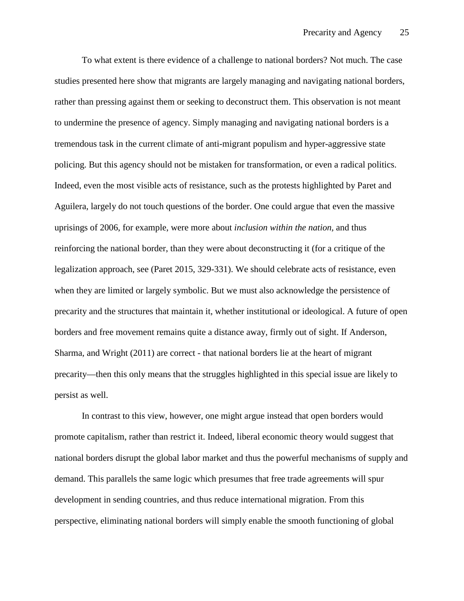To what extent is there evidence of a challenge to national borders? Not much. The case studies presented here show that migrants are largely managing and navigating national borders, rather than pressing against them or seeking to deconstruct them. This observation is not meant to undermine the presence of agency. Simply managing and navigating national borders is a tremendous task in the current climate of anti-migrant populism and hyper-aggressive state policing. But this agency should not be mistaken for transformation, or even a radical politics. Indeed, even the most visible acts of resistance, such as the protests highlighted by Paret and Aguilera, largely do not touch questions of the border. One could argue that even the massive uprisings of 2006, for example, were more about *inclusion within the nation,* and thus reinforcing the national border, than they were about deconstructing it (for a critique of the legalization approach, see (Paret 2015, 329-331). We should celebrate acts of resistance, even when they are limited or largely symbolic. But we must also acknowledge the persistence of precarity and the structures that maintain it, whether institutional or ideological. A future of open borders and free movement remains quite a distance away, firmly out of sight. If Anderson, Sharma, and Wright (2011) are correct - that national borders lie at the heart of migrant precarity—then this only means that the struggles highlighted in this special issue are likely to persist as well.

In contrast to this view, however, one might argue instead that open borders would promote capitalism, rather than restrict it. Indeed, liberal economic theory would suggest that national borders disrupt the global labor market and thus the powerful mechanisms of supply and demand. This parallels the same logic which presumes that free trade agreements will spur development in sending countries, and thus reduce international migration. From this perspective, eliminating national borders will simply enable the smooth functioning of global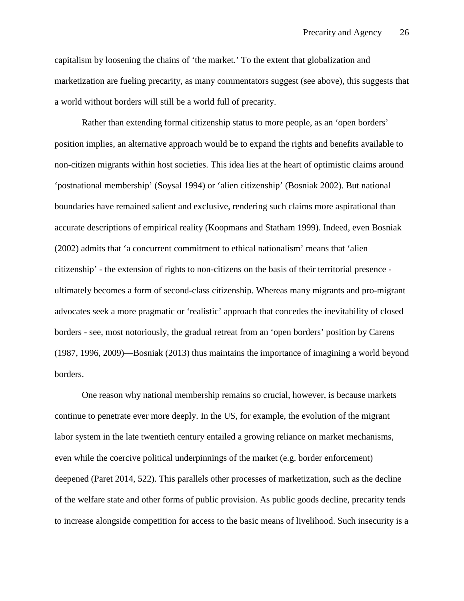capitalism by loosening the chains of 'the market.' To the extent that globalization and marketization are fueling precarity, as many commentators suggest (see above), this suggests that a world without borders will still be a world full of precarity.

Rather than extending formal citizenship status to more people, as an 'open borders' position implies, an alternative approach would be to expand the rights and benefits available to non-citizen migrants within host societies. This idea lies at the heart of optimistic claims around 'postnational membership' (Soysal 1994) or 'alien citizenship' (Bosniak 2002). But national boundaries have remained salient and exclusive, rendering such claims more aspirational than accurate descriptions of empirical reality (Koopmans and Statham 1999). Indeed, even Bosniak (2002) admits that 'a concurrent commitment to ethical nationalism' means that 'alien citizenship' - the extension of rights to non-citizens on the basis of their territorial presence ultimately becomes a form of second-class citizenship. Whereas many migrants and pro-migrant advocates seek a more pragmatic or 'realistic' approach that concedes the inevitability of closed borders - see, most notoriously, the gradual retreat from an 'open borders' position by Carens (1987, 1996, 2009)—Bosniak (2013) thus maintains the importance of imagining a world beyond borders.

One reason why national membership remains so crucial, however, is because markets continue to penetrate ever more deeply. In the US, for example, the evolution of the migrant labor system in the late twentieth century entailed a growing reliance on market mechanisms, even while the coercive political underpinnings of the market (e.g. border enforcement) deepened (Paret 2014, 522). This parallels other processes of marketization, such as the decline of the welfare state and other forms of public provision. As public goods decline, precarity tends to increase alongside competition for access to the basic means of livelihood. Such insecurity is a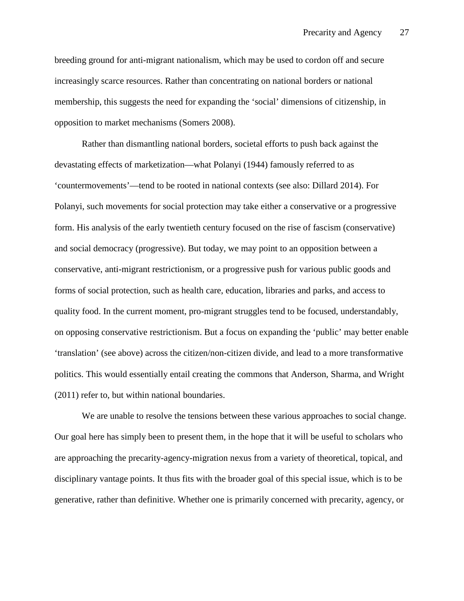breeding ground for anti-migrant nationalism, which may be used to cordon off and secure increasingly scarce resources. Rather than concentrating on national borders or national membership, this suggests the need for expanding the 'social' dimensions of citizenship, in opposition to market mechanisms (Somers 2008).

Rather than dismantling national borders, societal efforts to push back against the devastating effects of marketization—what Polanyi (1944) famously referred to as 'countermovements'—tend to be rooted in national contexts (see also: Dillard 2014). For Polanyi, such movements for social protection may take either a conservative or a progressive form. His analysis of the early twentieth century focused on the rise of fascism (conservative) and social democracy (progressive). But today, we may point to an opposition between a conservative, anti-migrant restrictionism, or a progressive push for various public goods and forms of social protection, such as health care, education, libraries and parks, and access to quality food. In the current moment, pro-migrant struggles tend to be focused, understandably, on opposing conservative restrictionism. But a focus on expanding the 'public' may better enable 'translation' (see above) across the citizen/non-citizen divide, and lead to a more transformative politics. This would essentially entail creating the commons that Anderson, Sharma, and Wright (2011) refer to, but within national boundaries.

We are unable to resolve the tensions between these various approaches to social change. Our goal here has simply been to present them, in the hope that it will be useful to scholars who are approaching the precarity-agency-migration nexus from a variety of theoretical, topical, and disciplinary vantage points. It thus fits with the broader goal of this special issue, which is to be generative, rather than definitive. Whether one is primarily concerned with precarity, agency, or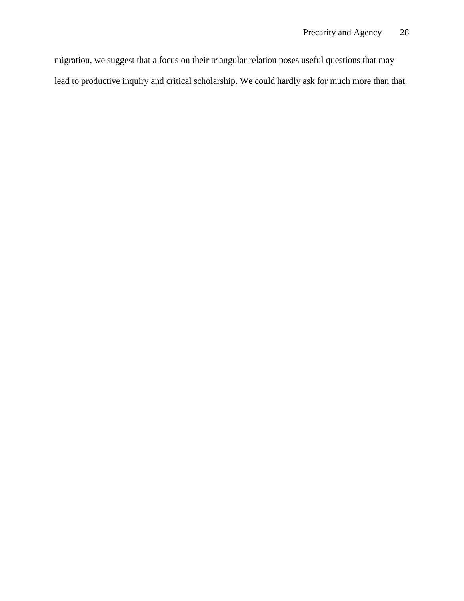migration, we suggest that a focus on their triangular relation poses useful questions that may lead to productive inquiry and critical scholarship. We could hardly ask for much more than that.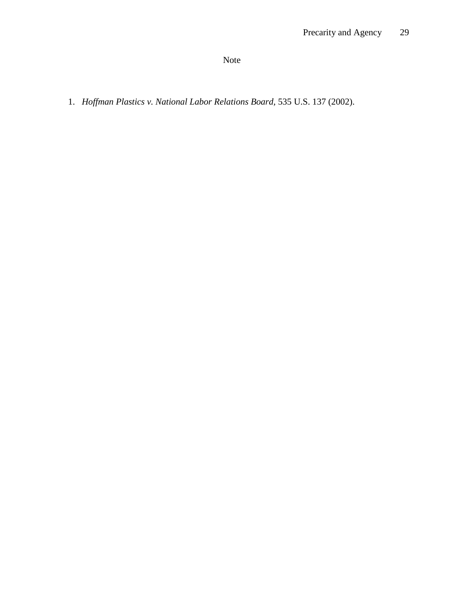Note

1. *Hoffman Plastics v. National Labor Relations Board,* 535 U.S. 137 (2002).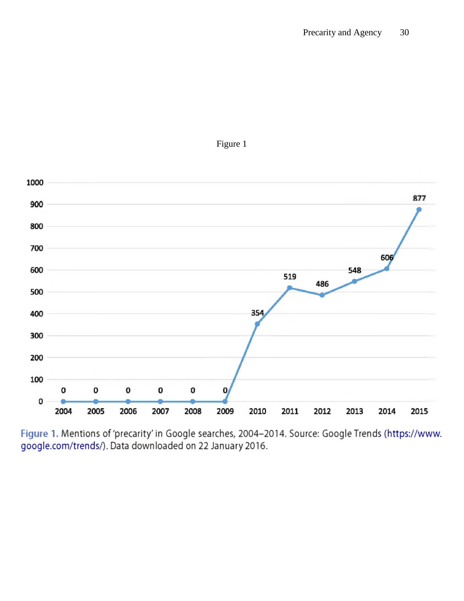

Figure 1

Figure 1. Mentions of 'precarity' in Google searches, 2004-2014. Source: Google Trends (https://www. google.com/trends/). Data downloaded on 22 January 2016.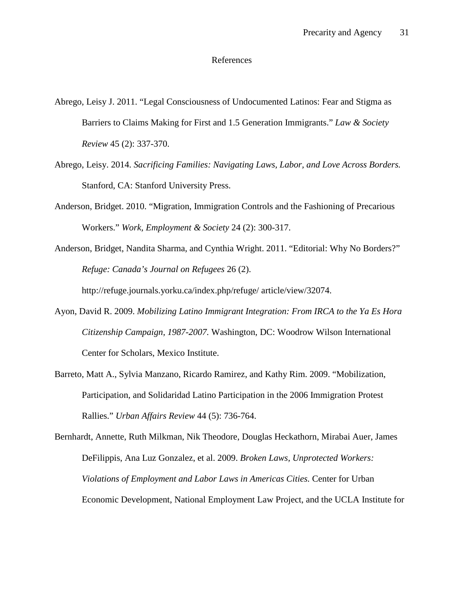# References

- Abrego, Leisy J. 2011. "Legal Consciousness of Undocumented Latinos: Fear and Stigma as Barriers to Claims Making for First and 1.5 Generation Immigrants." *Law & Society Review* 45 (2): 337-370.
- Abrego, Leisy. 2014. *Sacrificing Families: Navigating Laws, Labor, and Love Across Borders.*  Stanford, CA: Stanford University Press.
- Anderson, Bridget. 2010. "Migration, Immigration Controls and the Fashioning of Precarious Workers." *Work, Employment & Society* 24 (2): 300-317.
- Anderson, Bridget, Nandita Sharma, and Cynthia Wright. 2011. "Editorial: Why No Borders?" *Refuge: Canada's Journal on Refugees* 26 (2).

http://refuge.journals.yorku.ca/index.php/refuge/ article/view/32074.

- Ayon, David R. 2009. *Mobilizing Latino Immigrant Integration: From IRCA to the Ya Es Hora Citizenship Campaign, 1987-2007.* Washington, DC: Woodrow Wilson International Center for Scholars, Mexico Institute.
- Barreto, Matt A., Sylvia Manzano, Ricardo Ramirez, and Kathy Rim. 2009. "Mobilization, Participation, and Solidaridad Latino Participation in the 2006 Immigration Protest Rallies." *Urban Affairs Review* 44 (5): 736-764.

Bernhardt, Annette, Ruth Milkman, Nik Theodore, Douglas Heckathorn, Mirabai Auer, James DeFilippis, Ana Luz Gonzalez, et al. 2009. *Broken Laws, Unprotected Workers: Violations of Employment and Labor Laws in Americas Cities.* Center for Urban Economic Development, National Employment Law Project, and the UCLA Institute for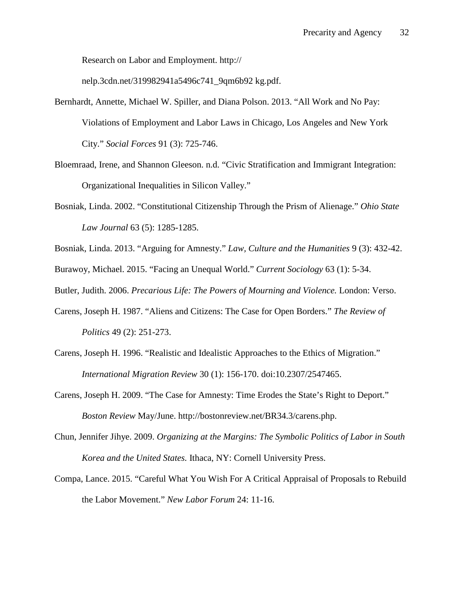Research on Labor and Employment. http://

nelp.3cdn.net/319982941a5496c741\_9qm6b92 kg.pdf.

- Bernhardt, Annette, Michael W. Spiller, and Diana Polson. 2013. "All Work and No Pay: Violations of Employment and Labor Laws in Chicago, Los Angeles and New York City." *Social Forces* 91 (3): 725-746.
- Bloemraad, Irene, and Shannon Gleeson. n.d. "Civic Stratification and Immigrant Integration: Organizational Inequalities in Silicon Valley."
- Bosniak, Linda. 2002. "Constitutional Citizenship Through the Prism of Alienage." *Ohio State Law Journal* 63 (5): 1285-1285.
- Bosniak, Linda. 2013. "Arguing for Amnesty." *Law, Culture and the Humanities* 9 (3): 432-42.

Burawoy, Michael. 2015. "Facing an Unequal World." *Current Sociology* 63 (1): 5-34.

- Butler, Judith. 2006. *Precarious Life: The Powers of Mourning and Violence.* London: Verso.
- Carens, Joseph H. 1987. "Aliens and Citizens: The Case for Open Borders." *The Review of Politics* 49 (2): 251-273.
- Carens, Joseph H. 1996. "Realistic and Idealistic Approaches to the Ethics of Migration." *International Migration Review* 30 (1): 156-170. doi:10.2307/2547465.
- Carens, Joseph H. 2009. "The Case for Amnesty: Time Erodes the State's Right to Deport." *Boston Review* May/June. http://bostonreview.net/BR34.3/carens.php.
- Chun, Jennifer Jihye. 2009. *Organizing at the Margins: The Symbolic Politics of Labor in South Korea and the United States.* Ithaca, NY: Cornell University Press.
- Compa, Lance. 2015. "Careful What You Wish For A Critical Appraisal of Proposals to Rebuild the Labor Movement." *New Labor Forum* 24: 11-16.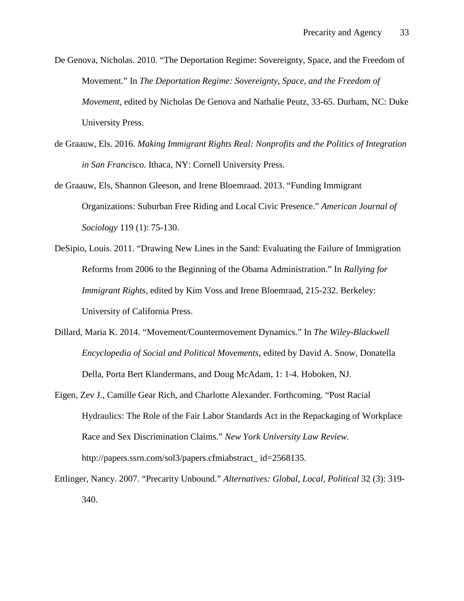De Genova, Nicholas. 2010. "The Deportation Regime: Sovereignty, Space, and the Freedom of Movement." In *The Deportation Regime: Sovereignty, Space, and the Freedom of Movement,* edited by Nicholas De Genova and Nathalie Peutz, 33-65. Durham, NC: Duke University Press.

- de Graauw, Els. 2016. *Making Immigrant Rights Real: Nonprofits and the Politics of Integration in San Francisco.* Ithaca, NY: Cornell University Press.
- de Graauw, Els, Shannon Gleeson, and Irene Bloemraad. 2013. "Funding Immigrant Organizations: Suburban Free Riding and Local Civic Presence." *American Journal of Sociology* 119 (1): 75-130.
- DeSipio, Louis. 2011. "Drawing New Lines in the Sand: Evaluating the Failure of Immigration Reforms from 2006 to the Beginning of the Obama Administration." In *Rallying for Immigrant Rights,* edited by Kim Voss and Irene Bloemraad, 215-232. Berkeley: University of California Press.
- Dillard, Maria K. 2014. "Movement/Countermovement Dynamics." In *The Wiley-Blackwell Encyclopedia of Social and Political Movements*, edited by David A. Snow, Donatella Della, Porta Bert Klandermans, and Doug McAdam, 1: 1-4. Hoboken, NJ.
- Eigen, Zev J., Camille Gear Rich, and Charlotte Alexander. Forthcoming. "Post Racial Hydraulics: The Role of the Fair Labor Standards Act in the Repackaging of Workplace Race and Sex Discrimination Claims." *New York University Law Review.*  http://papers.ssrn.com/sol3/papers.cfmiabstract\_id=2568135.
- Ettlinger, Nancy. 2007. "Precarity Unbound." *Alternatives: Global, Local, Political* 32 (3): 319- 340.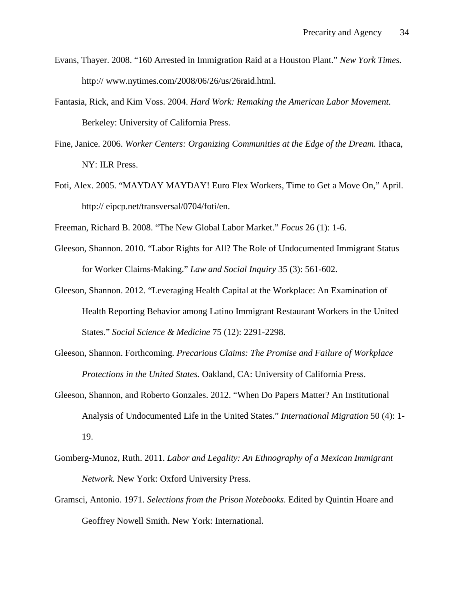- Evans, Thayer. 2008. "160 Arrested in Immigration Raid at a Houston Plant." *New York Times.*  http:// www.nytimes.com/2008/06/26/us/26raid.html.
- Fantasia, Rick, and Kim Voss. 2004. *Hard Work: Remaking the American Labor Movement.*  Berkeley: University of California Press.
- Fine, Janice. 2006. *Worker Centers: Organizing Communities at the Edge of the Dream.* Ithaca, NY: ILR Press.
- Foti, Alex. 2005. "MAYDAY MAYDAY! Euro Flex Workers, Time to Get a Move On," April. http:// eipcp.net/transversal/0704/foti/en.
- Freeman, Richard B. 2008. "The New Global Labor Market." *Focus* 26 (1): 1-6.
- Gleeson, Shannon. 2010. "Labor Rights for All? The Role of Undocumented Immigrant Status for Worker Claims-Making." *Law and Social Inquiry* 35 (3): 561-602.
- Gleeson, Shannon. 2012. "Leveraging Health Capital at the Workplace: An Examination of Health Reporting Behavior among Latino Immigrant Restaurant Workers in the United States." *Social Science & Medicine* 75 (12): 2291-2298.
- Gleeson, Shannon. Forthcoming. *Precarious Claims: The Promise and Failure of Workplace Protections in the United States.* Oakland, CA: University of California Press.
- Gleeson, Shannon, and Roberto Gonzales. 2012. "When Do Papers Matter? An Institutional Analysis of Undocumented Life in the United States." *International Migration* 50 (4): 1- 19.
- Gomberg-Munoz, Ruth. 2011. *Labor and Legality: An Ethnography of a Mexican Immigrant Network.* New York: Oxford University Press.
- Gramsci, Antonio. 1971. *Selections from the Prison Notebooks.* Edited by Quintin Hoare and Geoffrey Nowell Smith. New York: International.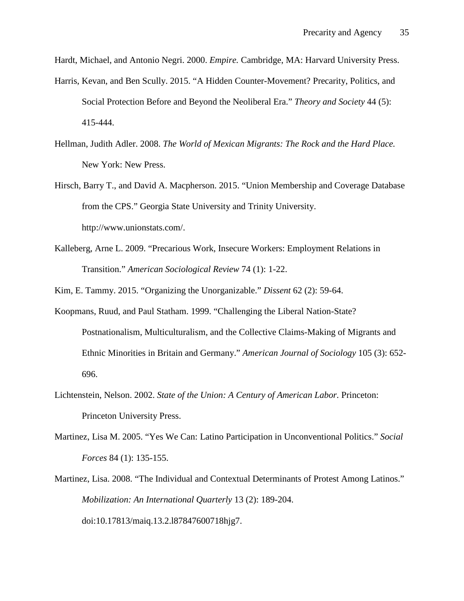Hardt, Michael, and Antonio Negri. 2000. *Empire.* Cambridge, MA: Harvard University Press.

- Harris, Kevan, and Ben Scully. 2015. "A Hidden Counter-Movement? Precarity, Politics, and Social Protection Before and Beyond the Neoliberal Era." *Theory and Society* 44 (5): 415-444.
- Hellman, Judith Adler. 2008. *The World of Mexican Migrants: The Rock and the Hard Place.*  New York: New Press.
- Hirsch, Barry T., and David A. Macpherson. 2015. "Union Membership and Coverage Database from the CPS." Georgia State University and Trinity University. http://www.unionstats.com/.
- Kalleberg, Arne L. 2009. "Precarious Work, Insecure Workers: Employment Relations in Transition." *American Sociological Review* 74 (1): 1-22.

Kim, E. Tammy. 2015. "Organizing the Unorganizable." *Dissent* 62 (2): 59-64.

- Koopmans, Ruud, and Paul Statham. 1999. "Challenging the Liberal Nation-State? Postnationalism, Multiculturalism, and the Collective Claims-Making of Migrants and Ethnic Minorities in Britain and Germany." *American Journal of Sociology* 105 (3): 652- 696.
- Lichtenstein, Nelson. 2002. *State of the Union: A Century of American Labor.* Princeton: Princeton University Press.
- Martinez, Lisa M. 2005. "Yes We Can: Latino Participation in Unconventional Politics." *Social Forces* 84 (1): 135-155.
- Martinez, Lisa. 2008. "The Individual and Contextual Determinants of Protest Among Latinos." *Mobilization: An International Quarterly* 13 (2): 189-204. doi:10.17813/maiq.13.2.l87847600718hjg7.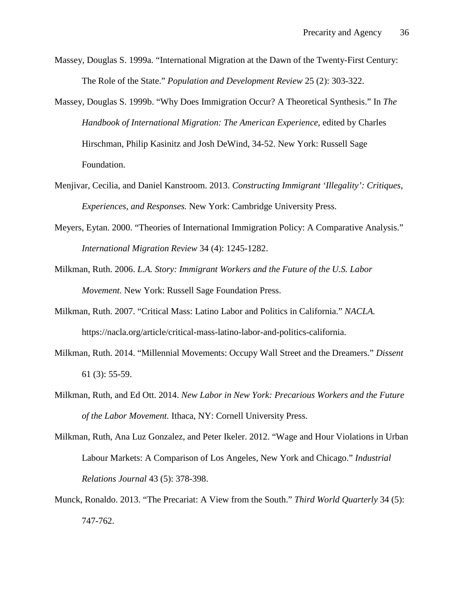- Massey, Douglas S. 1999a. "International Migration at the Dawn of the Twenty-First Century: The Role of the State." *Population and Development Review* 25 (2): 303-322.
- Massey, Douglas S. 1999b. "Why Does Immigration Occur? A Theoretical Synthesis." In *The Handbook of International Migration: The American Experience,* edited by Charles Hirschman, Philip Kasinitz and Josh DeWind, 34-52. New York: Russell Sage Foundation.
- Menjivar, Cecilia, and Daniel Kanstroom. 2013. *Constructing Immigrant 'Illegality': Critiques, Experiences, and Responses.* New York: Cambridge University Press.
- Meyers, Eytan. 2000. "Theories of International Immigration Policy: A Comparative Analysis." *International Migration Review* 34 (4): 1245-1282.
- Milkman, Ruth. 2006. *L.A. Story: Immigrant Workers and the Future of the U.S. Labor Movement.* New York: Russell Sage Foundation Press.
- Milkman, Ruth. 2007. "Critical Mass: Latino Labor and Politics in California." *NACLA.*  https://nacla.org/article/critical-mass-latino-labor-and-politics-california.
- Milkman, Ruth. 2014. "Millennial Movements: Occupy Wall Street and the Dreamers." *Dissent*  61 (3): 55-59.
- Milkman, Ruth, and Ed Ott. 2014. *New Labor in New York: Precarious Workers and the Future of the Labor Movement.* Ithaca, NY: Cornell University Press.
- Milkman, Ruth, Ana Luz Gonzalez, and Peter Ikeler. 2012. "Wage and Hour Violations in Urban Labour Markets: A Comparison of Los Angeles, New York and Chicago." *Industrial Relations Journal* 43 (5): 378-398.
- Munck, Ronaldo. 2013. "The Precariat: A View from the South." *Third World Quarterly* 34 (5): 747-762.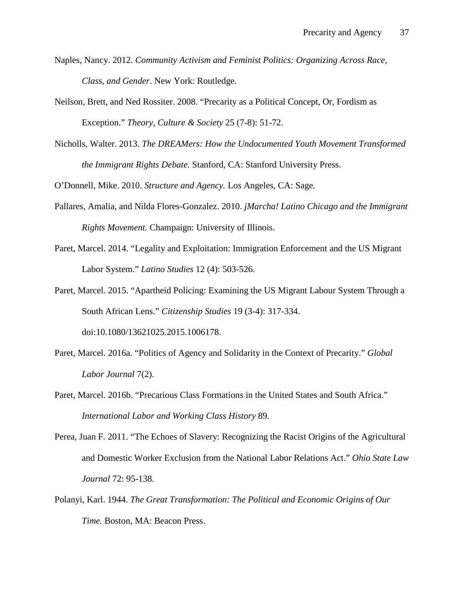- Naples, Nancy. 2012. *Community Activism and Feminist Politics: Organizing Across Race, Class, and Gender*. New York: Routledge.
- Neilson, Brett, and Ned Rossiter. 2008. "Precarity as a Political Concept, Or, Fordism as Exception." *Theory, Culture & Society* 25 (7-8): 51-72.
- Nicholls, Walter. 2013. *The DREAMers: How the Undocumented Youth Movement Transformed the Immigrant Rights Debate.* Stanford, CA: Stanford University Press.

O'Donnell, Mike. 2010. *Structure and Agency.* Los Angeles, CA: Sage.

- Pallares, Amalia, and Nilda Flores-Gonzalez. 2010. *jMarcha! Latino Chicago and the Immigrant Rights Movement.* Champaign: University of Illinois.
- Paret, Marcel. 2014. "Legality and Exploitation: Immigration Enforcement and the US Migrant Labor System." *Latino Studies* 12 (4): 503-526.
- Paret, Marcel. 2015. "Apartheid Policing: Examining the US Migrant Labour System Through a South African Lens." *Citizenship Studies* 19 (3-4): 317-334. doi:10.1080/13621025.2015.1006178.
- Paret, Marcel. 2016a. "Politics of Agency and Solidarity in the Context of Precarity." *Global Labor Journal* 7(2).
- Paret, Marcel. 2016b. "Precarious Class Formations in the United States and South Africa." *International Labor and Working Class History* 89.
- Perea, Juan F. 2011. "The Echoes of Slavery: Recognizing the Racist Origins of the Agricultural and Domestic Worker Exclusion from the National Labor Relations Act." *Ohio State Law Journal* 72: 95-138.
- Polanyi, Karl. 1944. *The Great Transformation: The Political and Economic Origins of Our Time.* Boston, MA: Beacon Press.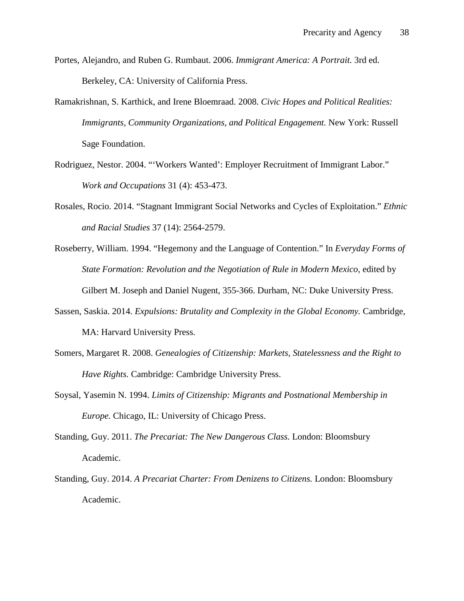- Portes, Alejandro, and Ruben G. Rumbaut. 2006. *Immigrant America: A Portrait.* 3rd ed. Berkeley, CA: University of California Press.
- Ramakrishnan, S. Karthick, and Irene Bloemraad. 2008. *Civic Hopes and Political Realities: Immigrants, Community Organizations, and Political Engagement.* New York: Russell Sage Foundation.
- Rodriguez, Nestor. 2004. "'Workers Wanted': Employer Recruitment of Immigrant Labor." *Work and Occupations* 31 (4): 453-473.
- Rosales, Rocio. 2014. "Stagnant Immigrant Social Networks and Cycles of Exploitation." *Ethnic and Racial Studies* 37 (14): 2564-2579.
- Roseberry, William. 1994. "Hegemony and the Language of Contention." In *Everyday Forms of State Formation: Revolution and the Negotiation of Rule in Modern Mexico,* edited by Gilbert M. Joseph and Daniel Nugent, 355-366. Durham, NC: Duke University Press.
- Sassen, Saskia. 2014. *Expulsions: Brutality and Complexity in the Global Economy*. Cambridge, MA: Harvard University Press.
- Somers, Margaret R. 2008. *Genealogies of Citizenship: Markets, Statelessness and the Right to Have Rights.* Cambridge: Cambridge University Press.
- Soysal, Yasemin N. 1994. *Limits of Citizenship: Migrants and Postnational Membership in Europe.* Chicago, IL: University of Chicago Press.
- Standing, Guy. 2011. *The Precariat: The New Dangerous Class.* London: Bloomsbury Academic.
- Standing, Guy. 2014. *A Precariat Charter: From Denizens to Citizens.* London: Bloomsbury Academic.